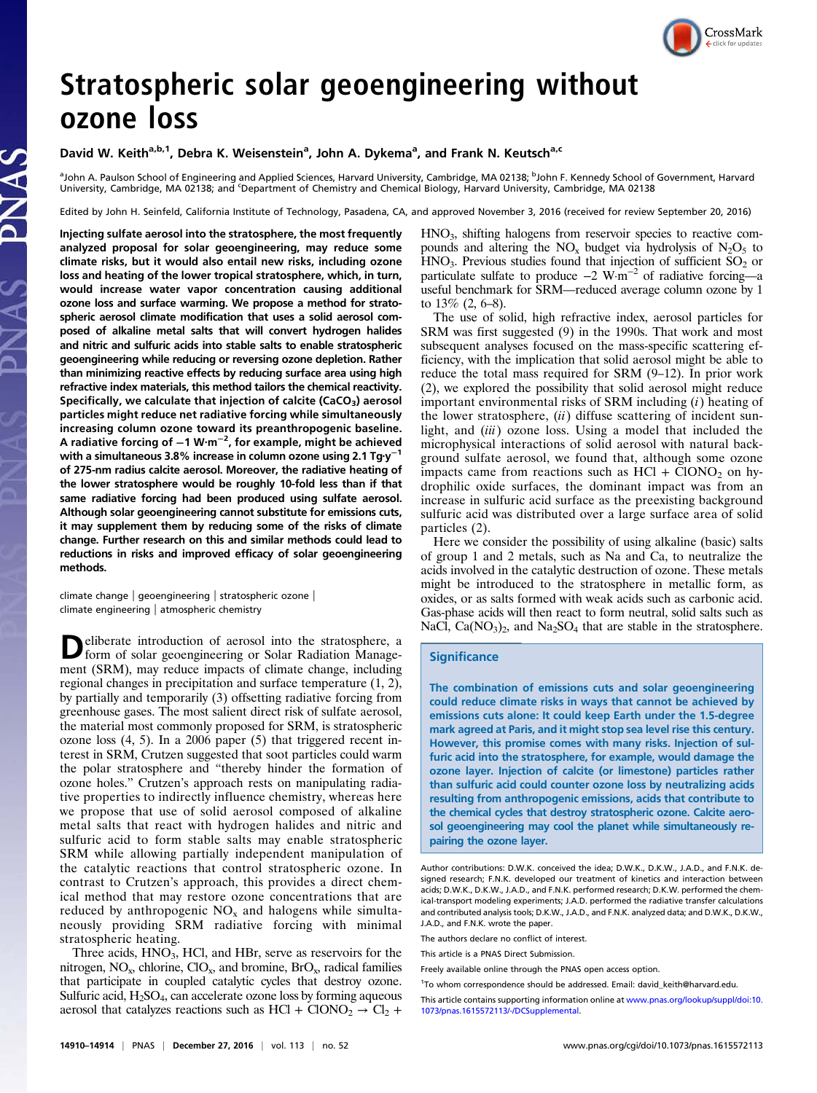

# Stratospheric solar geoengineering without

## over on the control.<br>David W. Keith<sup>a,b,1</sup>, Debra K. Weisenstein<sup>a</sup>, John A. Dykema<sup>a</sup>, and Frank N. Keutsch<sup>a,c</sup>

<sup>a</sup>John A. Paulson School of Engineering and Applied Sciences, Harvard University, Cambridge, MA 02138; <sup>b</sup>John F. Kennedy School of Government, Harvard University, Cambridge, MA 02138; and <sup>c</sup>Department of Chemistry and Chemical Biology, Harvard University, Cambridge, MA 02138

Edited by John H. Seinfeld, California Institute of Technology, Pasadena, CA, and approved November 3, 2016 (received for review September 20, 2016)

Injecting sulfate aerosol into the stratosphere, the most frequently analyzed proposal for solar geoengineering, may reduce some climate risks, but it would also entail new risks, including ozone loss and heating of the lower tropical stratosphere, which, in turn, would increase water vapor concentration causing additional ozone loss and surface warming. We propose a method for stratospheric aerosol climate modification that uses a solid aerosol composed of alkaline metal salts that will convert hydrogen halides and nitric and sulfuric acids into stable salts to enable stratospheric geoengineering while reducing or reversing ozone depletion. Rather than minimizing reactive effects by reducing surface area using high refractive index materials, this method tailors the chemical reactivity. Specifically, we calculate that injection of calcite (CaCO<sub>3</sub>) aerosol particles might reduce net radiative forcing while simultaneously increasing column ozone toward its preanthropogenic baseline. A radiative forcing of —1 W·m<sup>−2</sup>, for example, might be achieved with a simultaneous 3.8% increase in column ozone using 2.1 Tg·y<sup>-1</sup> of 275-nm radius calcite aerosol. Moreover, the radiative heating of the lower stratosphere would be roughly 10-fold less than if that same radiative forcing had been produced using sulfate aerosol. Although solar geoengineering cannot substitute for emissions cuts, it may supplement them by reducing some of the risks of climate change. Further research on this and similar methods could lead to reductions in risks and improved efficacy of solar geoengineering methods.

climate change | geoengineering | stratospheric ozone | climate engineering | atmospheric chemistry

Deliberate introduction of aerosol into the stratosphere, a<br>form of solar geoengineering or Solar Radiation Management (SRM), may reduce impacts of climate change, including regional changes in precipitation and surface temperature (1, 2), by partially and temporarily (3) offsetting radiative forcing from greenhouse gases. The most salient direct risk of sulfate aerosol, the material most commonly proposed for SRM, is stratospheric ozone loss (4, 5). In a 2006 paper (5) that triggered recent interest in SRM, Crutzen suggested that soot particles could warm the polar stratosphere and "thereby hinder the formation of ozone holes." Crutzen's approach rests on manipulating radiative properties to indirectly influence chemistry, whereas here we propose that use of solid aerosol composed of alkaline metal salts that react with hydrogen halides and nitric and sulfuric acid to form stable salts may enable stratospheric SRM while allowing partially independent manipulation of the catalytic reactions that control stratospheric ozone. In contrast to Crutzen's approach, this provides a direct chemical method that may restore ozone concentrations that are reduced by anthropogenic  $NO<sub>x</sub>$  and halogens while simultaneously providing SRM radiative forcing with minimal stratospheric heating.

Three acids,  $HNO<sub>3</sub>$ , HCl, and HBr, serve as reservoirs for the nitrogen,  $NO_x$ , chlorine,  $ClO_x$ , and bromine,  $BrO_x$ , radical families that participate in coupled catalytic cycles that destroy ozone. Sulfuric acid,  $H_2SO_4$ , can accelerate ozone loss by forming aqueous aerosol that catalyzes reactions such as  $HCl + ClONO_2 \rightarrow Cl_2 +$  HNO3, shifting halogens from reservoir species to reactive compounds and altering the  $NO_x$  budget via hydrolysis of  $N_2O_5$  to  $HNO<sub>3</sub>$ . Previous studies found that injection of sufficient  $SO<sub>2</sub>$  or particulate sulfate to produce  $-2$  W·m<sup>-2</sup> of radiative forcing—a useful benchmark for SRM—reduced average column ozone by 1 to 13% (2, 6–8).

The use of solid, high refractive index, aerosol particles for SRM was first suggested (9) in the 1990s. That work and most subsequent analyses focused on the mass-specific scattering efficiency, with the implication that solid aerosol might be able to reduce the total mass required for SRM (9–12). In prior work (2), we explored the possibility that solid aerosol might reduce important environmental risks of SRM including (i) heating of the lower stratosphere,  $(ii)$  diffuse scattering of incident sunlight, and (iii) ozone loss. Using a model that included the microphysical interactions of solid aerosol with natural background sulfate aerosol, we found that, although some ozone impacts came from reactions such as  $HCl + ClONO<sub>2</sub>$  on hydrophilic oxide surfaces, the dominant impact was from an increase in sulfuric acid surface as the preexisting background sulfuric acid was distributed over a large surface area of solid particles (2).

Here we consider the possibility of using alkaline (basic) salts of group 1 and 2 metals, such as Na and Ca, to neutralize the acids involved in the catalytic destruction of ozone. These metals might be introduced to the stratosphere in metallic form, as oxides, or as salts formed with weak acids such as carbonic acid. Gas-phase acids will then react to form neutral, solid salts such as NaCl,  $Ca(NO<sub>3</sub>)<sub>2</sub>$ , and Na<sub>2</sub>SO<sub>4</sub> that are stable in the stratosphere.

#### **Significance**

The combination of emissions cuts and solar geoengineering could reduce climate risks in ways that cannot be achieved by emissions cuts alone: It could keep Earth under the 1.5-degree mark agreed at Paris, and it might stop sea level rise this century. However, this promise comes with many risks. Injection of sulfuric acid into the stratosphere, for example, would damage the ozone layer. Injection of calcite (or limestone) particles rather than sulfuric acid could counter ozone loss by neutralizing acids resulting from anthropogenic emissions, acids that contribute to the chemical cycles that destroy stratospheric ozone. Calcite aerosol geoengineering may cool the planet while simultaneously repairing the ozone layer.

Author contributions: D.W.K. conceived the idea; D.W.K., D.K.W., J.A.D., and F.N.K. designed research; F.N.K. developed our treatment of kinetics and interaction between acids; D.W.K., D.K.W., J.A.D., and F.N.K. performed research; D.K.W. performed the chemical-transport modeling experiments; J.A.D. performed the radiative transfer calculations and contributed analysis tools; D.K.W., J.A.D., and F.N.K. analyzed data; and D.W.K., D.K.W., J.A.D., and F.N.K. wrote the paper.

The authors declare no conflict of interest.

This article is a PNAS Direct Submission.

Freely available online through the PNAS open access option.

<sup>1</sup>To whom correspondence should be addressed. Email: [david\\_keith@harvard.edu](mailto:david_keith@harvard.edu).

This article contains supporting information online at [www.pnas.org/lookup/suppl/doi:10.](http://www.pnas.org/lookup/suppl/doi:10.1073/pnas.1615572113/-/DCSupplemental) [1073/pnas.1615572113/-/DCSupplemental.](http://www.pnas.org/lookup/suppl/doi:10.1073/pnas.1615572113/-/DCSupplemental)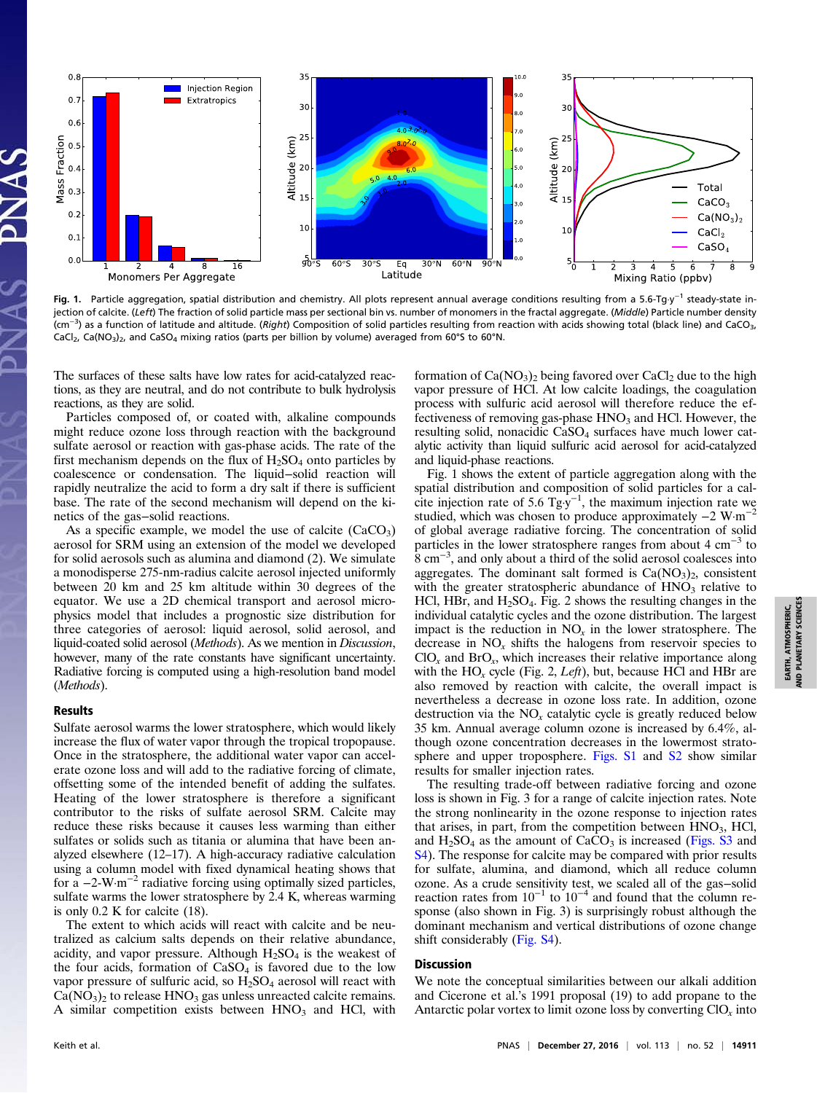

Fig. 1. Particle aggregation, spatial distribution and chemistry. All plots represent annual average conditions resulting from a 5.6-Tg·y−<sup>1</sup> steady-state injection of calcite. (Left) The fraction of solid particle mass per sectional bin vs. number of monomers in the fractal aggregate. (Middle) Particle number density (cm<sup>−3</sup>) as a function of latitude and altitude. (Right) Composition of solid particles resulting from reaction with acids showing total (black line) and CaCO<sub>3</sub>, CaCl<sub>2</sub>, Ca(NO<sub>3</sub>)<sub>2</sub>, and CaSO<sub>4</sub> mixing ratios (parts per billion by volume) averaged from 60°S to 60°N.

The surfaces of these salts have low rates for acid-catalyzed reactions, as they are neutral, and do not contribute to bulk hydrolysis reactions, as they are solid.

Particles composed of, or coated with, alkaline compounds might reduce ozone loss through reaction with the background sulfate aerosol or reaction with gas-phase acids. The rate of the first mechanism depends on the flux of  $H_2SO_4$  onto particles by coalescence or condensation. The liquid−solid reaction will rapidly neutralize the acid to form a dry salt if there is sufficient base. The rate of the second mechanism will depend on the kinetics of the gas−solid reactions.

As a specific example, we model the use of calcite  $(CaCO<sub>3</sub>)$ aerosol for SRM using an extension of the model we developed for solid aerosols such as alumina and diamond (2). We simulate a monodisperse 275-nm-radius calcite aerosol injected uniformly between 20 km and 25 km altitude within 30 degrees of the equator. We use a 2D chemical transport and aerosol microphysics model that includes a prognostic size distribution for three categories of aerosol: liquid aerosol, solid aerosol, and liquid-coated solid aerosol (Methods). As we mention in Discussion, however, many of the rate constants have significant uncertainty. Radiative forcing is computed using a high-resolution band model (Methods).

#### Results

Sulfate aerosol warms the lower stratosphere, which would likely increase the flux of water vapor through the tropical tropopause. Once in the stratosphere, the additional water vapor can accelerate ozone loss and will add to the radiative forcing of climate, offsetting some of the intended benefit of adding the sulfates. Heating of the lower stratosphere is therefore a significant contributor to the risks of sulfate aerosol SRM. Calcite may reduce these risks because it causes less warming than either sulfates or solids such as titania or alumina that have been analyzed elsewhere (12–17). A high-accuracy radiative calculation using a column model with fixed dynamical heating shows that for a  $-2$ -W·m<sup>-2</sup> radiative forcing using optimally sized particles, sulfate warms the lower stratosphere by 2.4 K, whereas warming is only 0.2 K for calcite (18).

The extent to which acids will react with calcite and be neutralized as calcium salts depends on their relative abundance, acidity, and vapor pressure. Although  $H_2SO_4$  is the weakest of the four acids, formation of  $CaSO<sub>4</sub>$  is favored due to the low vapor pressure of sulfuric acid, so  $H_2SO_4$  aerosol will react with  $Ca(NO<sub>3</sub>)<sub>2</sub>$  to release HNO<sub>3</sub> gas unless unreacted calcite remains. A similar competition exists between  $HNO<sub>3</sub>$  and HCl, with formation of  $Ca(NO<sub>3</sub>)<sub>2</sub>$  being favored over  $CaCl<sub>2</sub>$  due to the high vapor pressure of HCl. At low calcite loadings, the coagulation process with sulfuric acid aerosol will therefore reduce the effectiveness of removing gas-phase  $HNO<sub>3</sub>$  and HCl. However, the resulting solid, nonacidic CaSO<sub>4</sub> surfaces have much lower catalytic activity than liquid sulfuric acid aerosol for acid-catalyzed and liquid-phase reactions.

Fig. 1 shows the extent of particle aggregation along with the spatial distribution and composition of solid particles for a calcite injection rate of 5.6 Tg⋅y<sup>-1</sup>, the maximum injection rate we studied, which was chosen to produce approximately −2 W·m−<sup>2</sup> of global average radiative forcing. The concentration of solid particles in the lower stratosphere ranges from about 4  $cm<sup>-3</sup>$  to 8 cm<sup>-3</sup>, and only about a third of the solid aerosol coalesces into aggregates. The dominant salt formed is  $Ca(NO<sub>3</sub>)<sub>2</sub>$ , consistent with the greater stratospheric abundance of  $HNO<sub>3</sub>$  relative to HCl, HBr, and  $H<sub>2</sub>SO<sub>4</sub>$ . Fig. 2 shows the resulting changes in the individual catalytic cycles and the ozone distribution. The largest impact is the reduction in  $NO<sub>x</sub>$  in the lower stratosphere. The decrease in  $NO<sub>x</sub>$  shifts the halogens from reservoir species to  $ClO<sub>x</sub>$  and BrO<sub>x</sub>, which increases their relative importance along with the  $HO_x$  cycle (Fig. 2, *Left*), but, because HCl and HBr are also removed by reaction with calcite, the overall impact is nevertheless a decrease in ozone loss rate. In addition, ozone destruction via the  $NO<sub>x</sub>$  catalytic cycle is greatly reduced below 35 km. Annual average column ozone is increased by 6.4%, although ozone concentration decreases in the lowermost strato-sphere and upper troposphere. [Figs. S1](http://www.pnas.org/lookup/suppl/doi:10.1073/pnas.1615572113/-/DCSupplemental/pnas.201615572SI.pdf?targetid=nameddest=SF1) and [S2](http://www.pnas.org/lookup/suppl/doi:10.1073/pnas.1615572113/-/DCSupplemental/pnas.201615572SI.pdf?targetid=nameddest=SF2) show similar results for smaller injection rates.

The resulting trade-off between radiative forcing and ozone loss is shown in Fig. 3 for a range of calcite injection rates. Note the strong nonlinearity in the ozone response to injection rates that arises, in part, from the competition between  $HNO<sub>3</sub>$ , HCl, and  $H_2SO_4$  as the amount of  $CaCO_3$  is increased [\(Figs. S3](http://www.pnas.org/lookup/suppl/doi:10.1073/pnas.1615572113/-/DCSupplemental/pnas.201615572SI.pdf?targetid=nameddest=SF3) and [S4](http://www.pnas.org/lookup/suppl/doi:10.1073/pnas.1615572113/-/DCSupplemental/pnas.201615572SI.pdf?targetid=nameddest=SF4)). The response for calcite may be compared with prior results for sulfate, alumina, and diamond, which all reduce column ozone. As a crude sensitivity test, we scaled all of the gas−solid reaction rates from  $10^{-1}$  to  $10^{-4}$  and found that the column response (also shown in Fig. 3) is surprisingly robust although the dominant mechanism and vertical distributions of ozone change shift considerably [\(Fig. S4\)](http://www.pnas.org/lookup/suppl/doi:10.1073/pnas.1615572113/-/DCSupplemental/pnas.201615572SI.pdf?targetid=nameddest=SF4).

### Discussion

We note the conceptual similarities between our alkali addition and Cicerone et al.'s 1991 proposal (19) to add propane to the Antarctic polar vortex to limit ozone loss by converting  $ClO_x$  into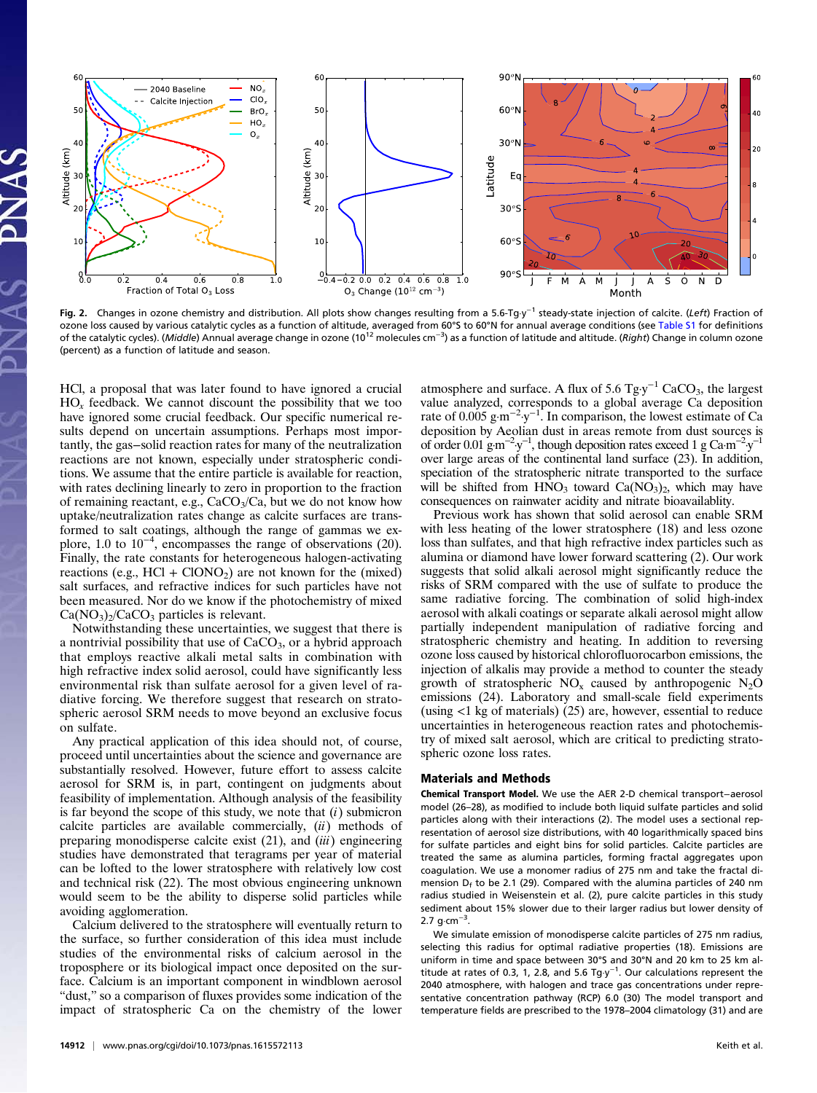

Fig. 2. Changes in ozone chemistry and distribution. All plots show changes resulting from a 5.6-Tg·y<sup>-1</sup> steady-state injection of calcite. (Left) Fraction of ozone loss caused by various catalytic cycles as a function of altitude, averaged from 60°S to 60°N for annual average conditions (see [Table S1](http://www.pnas.org/lookup/suppl/doi:10.1073/pnas.1615572113/-/DCSupplemental/pnas.201615572SI.pdf?targetid=nameddest=ST1) for definitions of the catalytic cycles). (*Middle*) Annual average change in ozone (10<sup>12</sup> molecules cm<sup>−3</sup>) as a function of latitude and altitude. (R*ight*) Change in column ozone (percent) as a function of latitude and season.

HCl, a proposal that was later found to have ignored a crucial  $HO<sub>x</sub>$  feedback. We cannot discount the possibility that we too have ignored some crucial feedback. Our specific numerical results depend on uncertain assumptions. Perhaps most importantly, the gas−solid reaction rates for many of the neutralization reactions are not known, especially under stratospheric conditions. We assume that the entire particle is available for reaction, with rates declining linearly to zero in proportion to the fraction of remaining reactant, e.g.,  $CaCO<sub>3</sub>/Ca$ , but we do not know how uptake/neutralization rates change as calcite surfaces are transformed to salt coatings, although the range of gammas we explore, 1.0 to 10<sup>-4</sup>, encompasses the range of observations (20). Finally, the rate constants for heterogeneous halogen-activating reactions (e.g.,  $HCl + ClONO<sub>2</sub>$ ) are not known for the (mixed) salt surfaces, and refractive indices for such particles have not been measured. Nor do we know if the photochemistry of mixed  $Ca(NO<sub>3</sub>)<sub>2</sub>/CaCO<sub>3</sub>$  particles is relevant.

Notwithstanding these uncertainties, we suggest that there is a nontrivial possibility that use of  $CaCO<sub>3</sub>$ , or a hybrid approach that employs reactive alkali metal salts in combination with high refractive index solid aerosol, could have significantly less environmental risk than sulfate aerosol for a given level of radiative forcing. We therefore suggest that research on stratospheric aerosol SRM needs to move beyond an exclusive focus on sulfate.

Any practical application of this idea should not, of course, proceed until uncertainties about the science and governance are substantially resolved. However, future effort to assess calcite aerosol for SRM is, in part, contingent on judgments about feasibility of implementation. Although analysis of the feasibility is far beyond the scope of this study, we note that  $(i)$  submicron calcite particles are available commercially,  $(ii)$  methods of preparing monodisperse calcite exist  $(21)$ , and  $(iii)$  engineering studies have demonstrated that teragrams per year of material can be lofted to the lower stratosphere with relatively low cost and technical risk (22). The most obvious engineering unknown would seem to be the ability to disperse solid particles while avoiding agglomeration.

Calcium delivered to the stratosphere will eventually return to the surface, so further consideration of this idea must include studies of the environmental risks of calcium aerosol in the troposphere or its biological impact once deposited on the surface. Calcium is an important component in windblown aerosol "dust," so a comparison of fluxes provides some indication of the impact of stratospheric Ca on the chemistry of the lower

14912 <sup>|</sup> <www.pnas.org/cgi/doi/10.1073/pnas.1615572113> Keith et al.

atmosphere and surface. A flux of 5.6  $Tgy^{-1}$  CaCO<sub>3</sub>, the largest value analyzed, corresponds to a global average Ca deposition rate of  $0.005$  g⋅m<sup>-2</sup>⋅y<sup>-1</sup>. In comparison, the lowest estimate of Ca deposition by Aeolian dust in areas remote from dust sources is of order 0.01  $\text{g} \cdot \text{m}^{-2} \cdot \text{y}^{-1}$ , though deposition rates exceed 1 g Ca $\cdot \text{m}^{-2} \cdot \text{y}^{-1}$ over large areas of the continental land surface (23). In addition, speciation of the stratospheric nitrate transported to the surface will be shifted from  $HNO<sub>3</sub>$  toward  $Ca(NO<sub>3</sub>)<sub>2</sub>$ , which may have consequences on rainwater acidity and nitrate bioavailablity.

Previous work has shown that solid aerosol can enable SRM with less heating of the lower stratosphere (18) and less ozone loss than sulfates, and that high refractive index particles such as alumina or diamond have lower forward scattering (2). Our work suggests that solid alkali aerosol might significantly reduce the risks of SRM compared with the use of sulfate to produce the same radiative forcing. The combination of solid high-index aerosol with alkali coatings or separate alkali aerosol might allow partially independent manipulation of radiative forcing and stratospheric chemistry and heating. In addition to reversing ozone loss caused by historical chlorofluorocarbon emissions, the injection of alkalis may provide a method to counter the steady growth of stratospheric  $NO_x$  caused by anthropogenic  $N_2O$ emissions (24). Laboratory and small-scale field experiments (using <1 kg of materials) (25) are, however, essential to reduce uncertainties in heterogeneous reaction rates and photochemistry of mixed salt aerosol, which are critical to predicting stratospheric ozone loss rates.

#### Materials and Methods

Chemical Transport Model. We use the AER 2-D chemical transport−aerosol model (26–28), as modified to include both liquid sulfate particles and solid particles along with their interactions (2). The model uses a sectional representation of aerosol size distributions, with 40 logarithmically spaced bins for sulfate particles and eight bins for solid particles. Calcite particles are treated the same as alumina particles, forming fractal aggregates upon coagulation. We use a monomer radius of 275 nm and take the fractal dimension  $D_f$  to be 2.1 (29). Compared with the alumina particles of 240 nm radius studied in Weisenstein et al. (2), pure calcite particles in this study sediment about 15% slower due to their larger radius but lower density of 2.7  $g$ ·cm<sup>-3</sup>.

We simulate emission of monodisperse calcite particles of 275 nm radius, selecting this radius for optimal radiative properties (18). Emissions are uniform in time and space between 30°S and 30°N and 20 km to 25 km altitude at rates of 0.3, 1, 2.8, and 5.6 Tg·y<sup>-1</sup>. Our calculations represent the 2040 atmosphere, with halogen and trace gas concentrations under representative concentration pathway (RCP) 6.0 (30) The model transport and temperature fields are prescribed to the 1978–2004 climatology (31) and are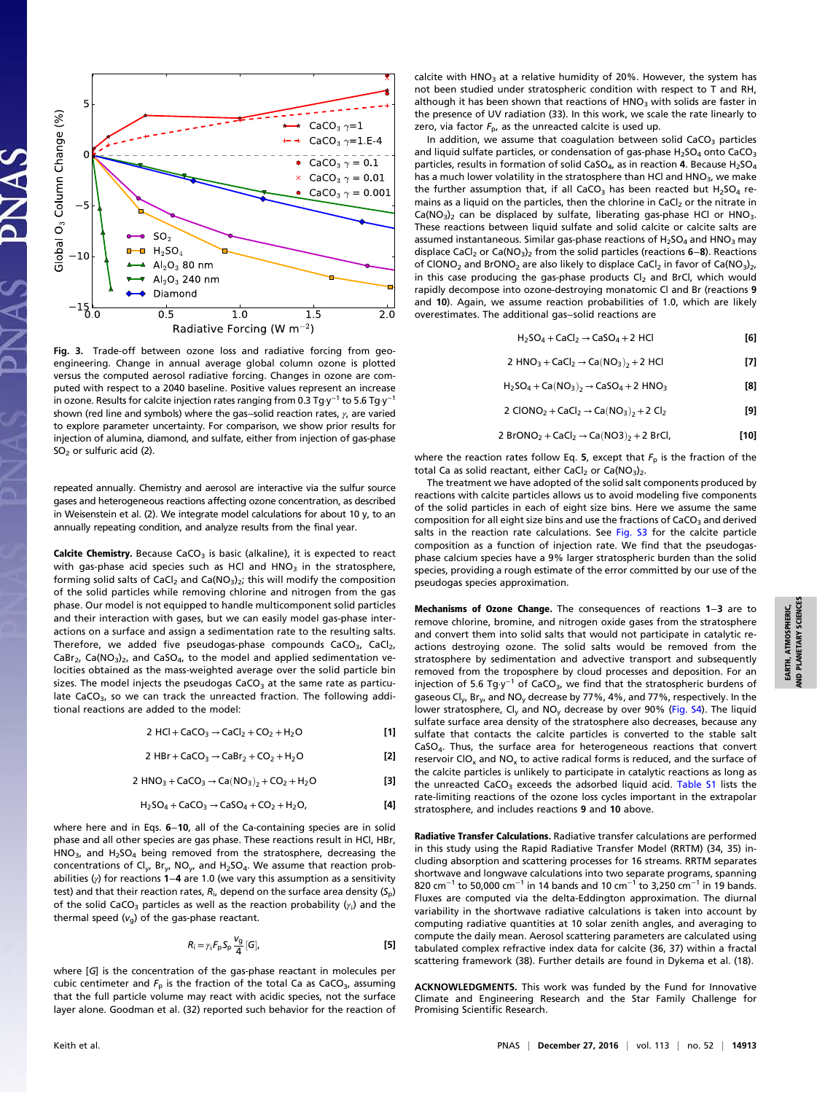

Fig. 3. Trade-off between ozone loss and radiative forcing from geoengineering. Change in annual average global column ozone is plotted versus the computed aerosol radiative forcing. Changes in ozone are computed with respect to a 2040 baseline. Positive values represent an increase in ozone. Results for calcite injection rates ranging from 0.3 Tg·y−<sup>1</sup> to 5.6 Tg·y−<sup>1</sup> shown (red line and symbols) where the gas-solid reaction rates,  $\gamma$ , are varied to explore parameter uncertainty. For comparison, we show prior results for injection of alumina, diamond, and sulfate, either from injection of gas-phase  $SO<sub>2</sub>$  or sulfuric acid (2).

repeated annually. Chemistry and aerosol are interactive via the sulfur source gases and heterogeneous reactions affecting ozone concentration, as described in Weisenstein et al. (2). We integrate model calculations for about 10 y, to an annually repeating condition, and analyze results from the final year.

Calcite Chemistry. Because CaCO<sub>3</sub> is basic (alkaline), it is expected to react with gas-phase acid species such as HCl and  $HNO<sub>3</sub>$  in the stratosphere, forming solid salts of  $CaCl<sub>2</sub>$  and  $Ca(NO<sub>3</sub>)<sub>2</sub>$ ; this will modify the composition of the solid particles while removing chlorine and nitrogen from the gas phase. Our model is not equipped to handle multicomponent solid particles and their interaction with gases, but we can easily model gas-phase interactions on a surface and assign a sedimentation rate to the resulting salts. Therefore, we added five pseudogas-phase compounds CaCO<sub>3</sub>, CaCl<sub>2</sub>, CaBr<sub>2</sub>, Ca(NO<sub>3</sub>)<sub>2</sub>, and CaSO<sub>4</sub>, to the model and applied sedimentation velocities obtained as the mass-weighted average over the solid particle bin sizes. The model injects the pseudogas  $CaCO<sub>3</sub>$  at the same rate as particulate CaCO<sub>3</sub>, so we can track the unreacted fraction. The following additional reactions are added to the model:

2 HCl + CaCO<sub>3</sub> → CaCl<sub>2</sub> + CO<sub>2</sub> + H<sub>2</sub>O [1]

$$
2 HBr + CaCO3 \rightarrow CaBr2 + CO2 + H2O
$$
 [2]

$$
2 \text{ HNO}_3 + \text{CaCO}_3 \rightarrow \text{Ca}(\text{NO}_3)_2 + \text{CO}_2 + \text{H}_2\text{O} \tag{3}
$$

$$
H_2SO_4 + CaCO_3 \to CaSO_4 + CO_2 + H_2O, \tag{4}
$$

where here and in Eqs. 6−10, all of the Ca-containing species are in solid phase and all other species are gas phase. These reactions result in HCl, HBr,  $HNO<sub>3</sub>$ , and  $H<sub>2</sub>SO<sub>4</sub>$  being removed from the stratosphere, decreasing the concentrations of Cl<sub>v</sub>, Br<sub>v</sub>, NO<sub>v</sub>, and H<sub>2</sub>SO<sub>4</sub>. We assume that reaction probabilities (γ) for reactions 1−4 are 1.0 (we vary this assumption as a sensitivity test) and that their reaction rates,  $R_i$ , depend on the surface area density  $(S_n)$ of the solid CaCO<sub>3</sub> particles as well as the reaction probability ( $\gamma_\mathrm{i}$ ) and the thermal speed  $(v_q)$  of the gas-phase reactant.

$$
R_i = \gamma_i F_p S_p \frac{V_g}{4} [G], \qquad [5]
$$

where [G] is the concentration of the gas-phase reactant in molecules per cubic centimeter and  $F_p$  is the fraction of the total Ca as CaCO<sub>3</sub>, assuming that the full particle volume may react with acidic species, not the surface layer alone. Goodman et al. (32) reported such behavior for the reaction of calcite with  $HNO<sub>3</sub>$  at a relative humidity of 20%. However, the system has not been studied under stratospheric condition with respect to T and RH, although it has been shown that reactions of  $HNO<sub>3</sub>$  with solids are faster in the presence of UV radiation (33). In this work, we scale the rate linearly to zero, via factor  $F_{\text{p}}$ , as the unreacted calcite is used up.

In addition, we assume that coagulation between solid  $CaCO<sub>3</sub>$  particles and liquid sulfate particles, or condensation of gas-phase  $H<sub>2</sub>SO<sub>4</sub>$  onto CaCO<sub>3</sub> particles, results in formation of solid CaSO<sub>4</sub>, as in reaction 4. Because H<sub>2</sub>SO<sub>4</sub> has a much lower volatility in the stratosphere than HCl and HNO<sub>3</sub>, we make the further assumption that, if all CaCO<sub>3</sub> has been reacted but  $H_2SO_4$  remains as a liquid on the particles, then the chlorine in CaCl<sub>2</sub> or the nitrate in  $Ca(NO<sub>3</sub>)<sub>2</sub>$  can be displaced by sulfate, liberating gas-phase HCl or HNO<sub>3</sub>. These reactions between liquid sulfate and solid calcite or calcite salts are assumed instantaneous. Similar gas-phase reactions of  $H_2SO_4$  and  $HNO_3$  may displace CaCl<sub>2</sub> or Ca(NO<sub>3</sub>)<sub>2</sub> from the solid particles (reactions 6–8). Reactions of ClONO<sub>2</sub> and BrONO<sub>2</sub> are also likely to displace CaCl<sub>2</sub> in favor of Ca(NO<sub>3</sub>)<sub>2</sub>, in this case producing the gas-phase products  $Cl<sub>2</sub>$  and BrCl, which would rapidly decompose into ozone-destroying monatomic Cl and Br (reactions 9 and 10). Again, we assume reaction probabilities of 1.0, which are likely overestimates. The additional gas−solid reactions are

 $H_2$ SO<sub>4</sub> + CaCl<sub>2</sub>  $\rightarrow$  CaSO<sub>4</sub> + 2 HCl [6]

2 HNO<sub>3</sub> + CaCl<sub>2</sub> → Ca(NO<sub>3</sub>)<sub>2</sub> + 2 HCl [7]

$$
H_2SO_4 + Ca(NO_3)_2 \to CaSO_4 + 2 HNO_3
$$
 [8]

2 ClONO<sub>2</sub> + CaCl<sub>2</sub> → Ca(NO<sub>3</sub>)<sub>2</sub> + 2 Cl<sub>2</sub> [9]

$$
2\,\text{BrONO}_2 + \text{CaCl}_2 \rightarrow \text{Ca}(\text{NO3})_2 + 2\,\text{BrCl},\tag{10}
$$

where the reaction rates follow Eq. 5, except that  $F<sub>o</sub>$  is the fraction of the total Ca as solid reactant, either CaCl<sub>2</sub> or Ca( $NO<sub>3</sub>/2$ .

The treatment we have adopted of the solid salt components produced by reactions with calcite particles allows us to avoid modeling five components of the solid particles in each of eight size bins. Here we assume the same composition for all eight size bins and use the fractions of  $CaCO<sub>3</sub>$  and derived salts in the reaction rate calculations. See [Fig. S3](http://www.pnas.org/lookup/suppl/doi:10.1073/pnas.1615572113/-/DCSupplemental/pnas.201615572SI.pdf?targetid=nameddest=SF3) for the calcite particle composition as a function of injection rate. We find that the pseudogasphase calcium species have a 9% larger stratospheric burden than the solid species, providing a rough estimate of the error committed by our use of the pseudogas species approximation.

Mechanisms of Ozone Change. The consequences of reactions 1−3 are to remove chlorine, bromine, and nitrogen oxide gases from the stratosphere and convert them into solid salts that would not participate in catalytic reactions destroying ozone. The solid salts would be removed from the stratosphere by sedimentation and advective transport and subsequently removed from the troposphere by cloud processes and deposition. For an injection of 5.6 Tg·y<sup>-1</sup> of CaCO<sub>3</sub>, we find that the stratospheric burdens of gaseous Cl<sub>v</sub>, Br<sub>v</sub>, and NO<sub>v</sub> decrease by 77%, 4%, and 77%, respectively. In the lower stratosphere, Cl<sub>y</sub> and NO<sub>y</sub> decrease by over 90% [\(Fig. S4\)](http://www.pnas.org/lookup/suppl/doi:10.1073/pnas.1615572113/-/DCSupplemental/pnas.201615572SI.pdf?targetid=nameddest=SF4). The liquid sulfate surface area density of the stratosphere also decreases, because any sulfate that contacts the calcite particles is converted to the stable salt CaSO4. Thus, the surface area for heterogeneous reactions that convert reservoir CIO<sub>x</sub> and NO<sub>x</sub> to active radical forms is reduced, and the surface of the calcite particles is unlikely to participate in catalytic reactions as long as the unreacted  $CaCO<sub>3</sub>$  exceeds the adsorbed liquid acid. [Table S1](http://www.pnas.org/lookup/suppl/doi:10.1073/pnas.1615572113/-/DCSupplemental/pnas.201615572SI.pdf?targetid=nameddest=ST1) lists the rate-limiting reactions of the ozone loss cycles important in the extrapolar stratosphere, and includes reactions 9 and 10 above.

Radiative Transfer Calculations. Radiative transfer calculations are performed in this study using the Rapid Radiative Transfer Model (RRTM) (34, 35) including absorption and scattering processes for 16 streams. RRTM separates shortwave and longwave calculations into two separate programs, spanning 820 cm<sup>-1</sup> to 50,000 cm<sup>-1</sup> in 14 bands and 10 cm<sup>-1</sup> to 3,250 cm<sup>-1</sup> in 19 bands. Fluxes are computed via the delta-Eddington approximation. The diurnal variability in the shortwave radiative calculations is taken into account by computing radiative quantities at 10 solar zenith angles, and averaging to compute the daily mean. Aerosol scattering parameters are calculated using tabulated complex refractive index data for calcite (36, 37) within a fractal scattering framework (38). Further details are found in Dykema et al. (18).

ACKNOWLEDGMENTS. This work was funded by the Fund for Innovative Climate and Engineering Research and the Star Family Challenge for Promising Scientific Research.